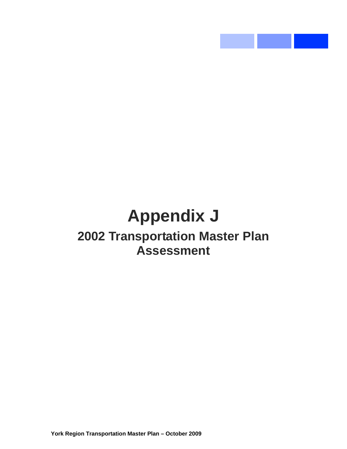# **Appendix J 2002 Transportation Master Plan Assessment**

 $\mathcal{O}(\mathcal{O}_\mathcal{O})$  .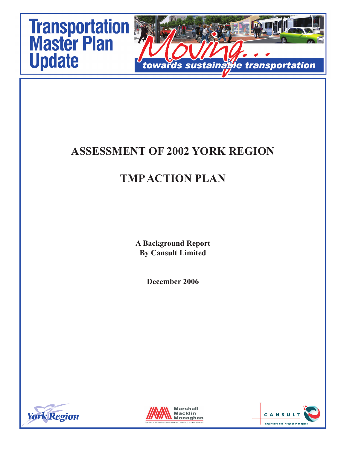

## **ASSESSMENT OF 2002 YORK REGION**

# **TMP ACTION PLAN**

**A Background Report By Cansult Limited**

**December 2006**





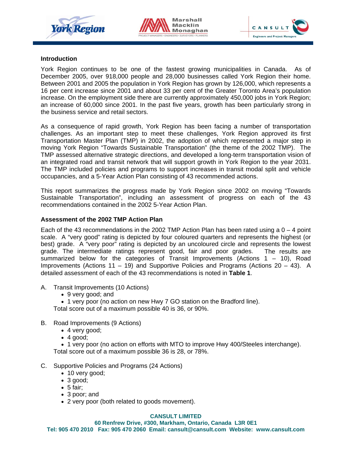





#### **Introduction**

York Region continues to be one of the fastest growing municipalities in Canada. As of December 2005, over 918,000 people and 28,000 businesses called York Region their home. Between 2001 and 2005 the population in York Region has grown by 126,000, which represents a 16 per cent increase since 2001 and about 33 per cent of the Greater Toronto Area's population increase. On the employment side there are currently approximately 450,000 jobs in York Region; an increase of 60,000 since 2001. In the past five years, growth has been particularly strong in the business service and retail sectors.

As a consequence of rapid growth, York Region has been facing a number of transportation challenges. As an important step to meet these challenges, York Region approved its first Transportation Master Plan (TMP) in 2002, the adoption of which represented a major step in moving York Region "Towards Sustainable Transportation" (the theme of the 2002 TMP). The TMP assessed alternative strategic directions, and developed a long-term transportation vision of an integrated road and transit network that will support growth in York Region to the year 2031. The TMP included policies and programs to support increases in transit modal split and vehicle occupancies, and a 5-Year Action Plan consisting of 43 recommended actions.

This report summarizes the progress made by York Region since 2002 on moving "Towards Sustainable Transportation", including an assessment of progress on each of the 43 recommendations contained in the 2002 5-Year Action Plan.

#### **Assessment of the 2002 TMP Action Plan**

Each of the 43 recommendations in the 2002 TMP Action Plan has been rated using a  $0 - 4$  point scale. A "very good" rating is depicted by four coloured quarters and represents the highest (or best) grade. A "very poor" rating is depicted by an uncoloured circle and represents the lowest grade. The intermediate ratings represent good, fair and poor grades. The results are summarized below for the categories of Transit Improvements (Actions 1 – 10), Road Improvements (Actions 11 – 19) and Supportive Policies and Programs (Actions 20 – 43). A detailed assessment of each of the 43 recommendations is noted in **Table 1**.

- A. Transit Improvements (10 Actions)
	- 9 very good; and
	- 1 very poor (no action on new Hwy 7 GO station on the Bradford line).

Total score out of a maximum possible 40 is 36, or 90%.

- B. Road Improvements (9 Actions)
	- 4 very good;
	- $\bullet$  4 good;

• 1 very poor (no action on efforts with MTO to improve Hwy 400/Steeles interchange). Total score out of a maximum possible 36 is 28, or 78%.

- C. Supportive Policies and Programs (24 Actions)
	- 10 very good;
	- 3 good;
	- $\bullet$  5 fair:
	- 3 poor; and
	- 2 very poor (both related to goods movement).

#### **CANSULT LIMITED**

**60 Renfrew Drive, #300, Markham, Ontario, Canada L3R 0E1 Tel: 905 470 2010 Fax: 905 470 2060 Email: cansult@cansult.com Website: www.cansult.com**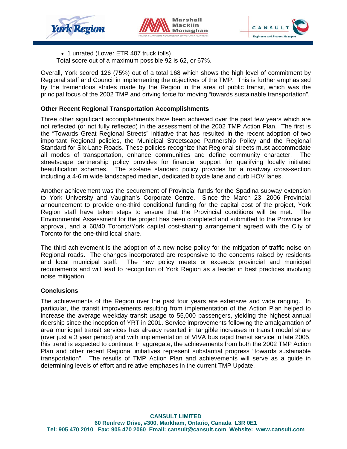





• 1 unrated (Lower ETR 407 truck tolls)

Total score out of a maximum possible 92 is 62, or 67%.

Overall, York scored 126 (75%) out of a total 168 which shows the high level of commitment by Regional staff and Council in implementing the objectives of the TMP. This is further emphasised by the tremendous strides made by the Region in the area of public transit, which was the principal focus of the 2002 TMP and driving force for moving "towards sustainable transportation".

#### **Other Recent Regional Transportation Accomplishments**

Three other significant accomplishments have been achieved over the past few years which are not reflected (or not fully reflected) in the assessment of the 2002 TMP Action Plan. The first is the "Towards Great Regional Streets" initiative that has resulted in the recent adoption of two important Regional policies, the Municipal Streetscape Partnership Policy and the Regional Standard for Six-Lane Roads. These policies recognize that Regional streets must accommodate all modes of transportation, enhance communities and define community character. The streetscape partnership policy provides for financial support for qualifying locally initiated beautification schemes. The six-lane standard policy provides for a roadway cross-section including a 4-6 m wide landscaped median, dedicated bicycle lane and curb HOV lanes.

Another achievement was the securement of Provincial funds for the Spadina subway extension to York University and Vaughan's Corporate Centre. Since the March 23, 2006 Provincial announcement to provide one-third conditional funding for the capital cost of the project, York Region staff have taken steps to ensure that the Provincial conditions will be met. The Environmental Assessment for the project has been completed and submitted to the Province for approval, and a 60/40 Toronto/York capital cost-sharing arrangement agreed with the City of Toronto for the one-third local share.

The third achievement is the adoption of a new noise policy for the mitigation of traffic noise on Regional roads. The changes incorporated are responsive to the concerns raised by residents and local municipal staff. The new policy meets or exceeds provincial and municipal requirements and will lead to recognition of York Region as a leader in best practices involving noise mitigation.

#### **Conclusions**

The achievements of the Region over the past four years are extensive and wide ranging. In particular, the transit improvements resulting from implementation of the Action Plan helped to increase the average weekday transit usage to 55,000 passengers, yielding the highest annual ridership since the inception of YRT in 2001. Service improvements following the amalgamation of area municipal transit services has already resulted in tangible increases in transit modal share (over just a 3 year period) and with implementation of VIVA bus rapid transit service in late 2005, this trend is expected to continue. In aggregate, the achievements from both the 2002 TMP Action Plan and other recent Regional initiatives represent substantial progress "towards sustainable transportation". The results of TMP Action Plan and achievements will serve as a guide in determining levels of effort and relative emphases in the current TMP Update.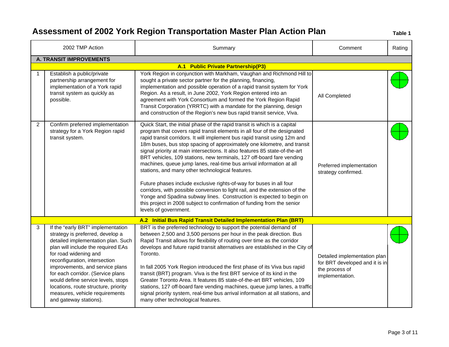|   | 2002 TMP Action                                                                                                                                                                                                                                                                                                                                                                                                               | Summary                                                                                                                                                                                                                                                                                                                                                                                                                                                                                                                                                                                                                                                                                                                                                                                                                                                                                                                              | Comment                                                                                             | Rating |
|---|-------------------------------------------------------------------------------------------------------------------------------------------------------------------------------------------------------------------------------------------------------------------------------------------------------------------------------------------------------------------------------------------------------------------------------|--------------------------------------------------------------------------------------------------------------------------------------------------------------------------------------------------------------------------------------------------------------------------------------------------------------------------------------------------------------------------------------------------------------------------------------------------------------------------------------------------------------------------------------------------------------------------------------------------------------------------------------------------------------------------------------------------------------------------------------------------------------------------------------------------------------------------------------------------------------------------------------------------------------------------------------|-----------------------------------------------------------------------------------------------------|--------|
|   | <b>A. TRANSIT IMPROVEMENTS</b>                                                                                                                                                                                                                                                                                                                                                                                                |                                                                                                                                                                                                                                                                                                                                                                                                                                                                                                                                                                                                                                                                                                                                                                                                                                                                                                                                      |                                                                                                     |        |
|   |                                                                                                                                                                                                                                                                                                                                                                                                                               | A.1 Public Private Partnership(P3)                                                                                                                                                                                                                                                                                                                                                                                                                                                                                                                                                                                                                                                                                                                                                                                                                                                                                                   |                                                                                                     |        |
|   | Establish a public/private<br>partnership arrangement for<br>implementation of a York rapid<br>transit system as quickly as<br>possible.                                                                                                                                                                                                                                                                                      | York Region in conjunction with Markham, Vaughan and Richmond Hill to<br>sought a private sector partner for the planning, financing,<br>implementation and possible operation of a rapid transit system for York<br>Region. As a result, in June 2002, York Region entered into an<br>agreement with York Consortium and formed the York Region Rapid<br>Transit Corporation (YRRTC) with a mandate for the planning, design<br>and construction of the Region's new bus rapid transit service, Viva.                                                                                                                                                                                                                                                                                                                                                                                                                               | All Completed                                                                                       |        |
| 2 | Confirm preferred implementation<br>strategy for a York Region rapid<br>transit system.                                                                                                                                                                                                                                                                                                                                       | Quick Start, the initial phase of the rapid transit is which is a capital<br>program that covers rapid transit elements in all four of the designated<br>rapid transit corridors. It will implement bus rapid transit using 12m and<br>18m buses, bus stop spacing of approximately one kilometre, and transit<br>signal priority at main intersections. It also features 85 state-of-the-art<br>BRT vehicles, 109 stations, new terminals, 127 off-board fare vending<br>machines, queue jump lanes, real-time bus arrival information at all<br>stations, and many other technological features.<br>Future phases include exclusive rights-of-way for buses in all four<br>corridors, with possible conversion to light rail, and the extension of the<br>Yonge and Spadina subway lines. Construction is expected to begin on<br>this project in 2008 subject to confirmation of funding from the senior<br>levels of government. | Preferred implementation<br>strategy confirmed.                                                     |        |
|   |                                                                                                                                                                                                                                                                                                                                                                                                                               | A.2 Initial Bus Rapid Transit Detailed Implementation Plan (BRT)                                                                                                                                                                                                                                                                                                                                                                                                                                                                                                                                                                                                                                                                                                                                                                                                                                                                     |                                                                                                     |        |
| 3 | If the "early BRT" implementation<br>strategy is preferred, develop a<br>detailed implementation plan. Such<br>plan will include the required EAs<br>for road widening and<br>reconfiguration, intersection<br>improvements, and service plans<br>for each corridor. (Service plans<br>would define service levels, stops<br>locations, route structure, priority<br>measures, vehicle requirements<br>and gateway stations). | BRT is the preferred technology to support the potential demand of<br>between 2,500 and 3,500 persons per hour in the peak direction. Bus<br>Rapid Transit allows for flexibility of routing over time as the corridor<br>develops and future rapid transit alternatives are established in the City of<br>Toronto.<br>In fall 2005 York Region introduced the first phase of its Viva bus rapid<br>transit (BRT) program. Viva is the first BRT service of its kind in the<br>Greater Toronto Area. It features 85 state-of-the-art BRT vehicles, 109<br>stations, 127 off-board fare vending machines, queue jump lanes, a traffic<br>signal priority system, real-time bus arrival information at all stations, and<br>many other technological features.                                                                                                                                                                         | Detailed implementation plan<br>for BRT developed and it is in<br>the process of<br>implementation. |        |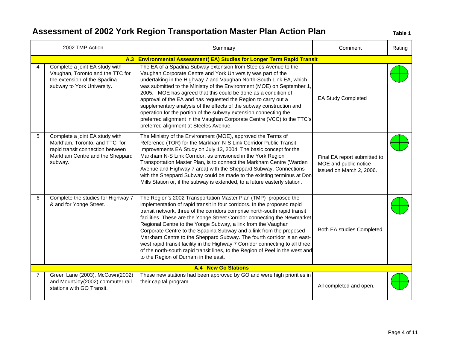|                | 2002 TMP Action                                                                                                                                   | Summary                                                                                                                                                                                                                                                                                                                                                                                                                                                                                                                                                                                                                                                                                                                          | Comment                                                                           | Rating |
|----------------|---------------------------------------------------------------------------------------------------------------------------------------------------|----------------------------------------------------------------------------------------------------------------------------------------------------------------------------------------------------------------------------------------------------------------------------------------------------------------------------------------------------------------------------------------------------------------------------------------------------------------------------------------------------------------------------------------------------------------------------------------------------------------------------------------------------------------------------------------------------------------------------------|-----------------------------------------------------------------------------------|--------|
|                |                                                                                                                                                   | A.3 Environmental Assessment(EA) Studies for Longer Term Rapid Transit                                                                                                                                                                                                                                                                                                                                                                                                                                                                                                                                                                                                                                                           |                                                                                   |        |
|                | Complete a joint EA study with<br>Vaughan, Toronto and the TTC for<br>the extension of the Spadina<br>subway to York University.                  | The EA of a Spadina Subway extension from Steeles Avenue to the<br>Vaughan Corporate Centre and York University was part of the<br>undertaking in the Highway 7 and Vaughan North-South Link EA, which<br>was submitted to the Ministry of the Environment (MOE) on September 1,<br>2005. MOE has agreed that this could be done as a condition of<br>approval of the EA and has requested the Region to carry out a<br>supplementary analysis of the effects of the subway construction and<br>operation for the portion of the subway extension connecting the<br>preferred alignment in the Vaughan Corporate Centre (VCC) to the TTC's<br>preferred alignment at Steeles Avenue.                                             | EA Study Completed                                                                |        |
| 5              | Complete a joint EA study with<br>Markham, Toronto, and TTC for<br>rapid transit connection between<br>Markham Centre and the Sheppard<br>subway. | The Ministry of the Environment (MOE), approved the Terms of<br>Reference (TOR) for the Markham N-S Link Corridor Public Transit<br>Improvements EA Study on July 13, 2004. The basic concept for the<br>Markham N-S Link Corridor, as envisioned in the York Region<br>Transportation Master Plan, is to connect the Markham Centre (Warden<br>Avenue and Highway 7 area) with the Sheppard Subway. Connections<br>with the Sheppard Subway could be made to the existing terminus at Don<br>Mills Station or, if the subway is extended, to a future easterly station.                                                                                                                                                         | Final EA report submitted to<br>MOE and public notice<br>issued on March 2, 2006. |        |
| 6              | Complete the studies for Highway 7<br>& and for Yonge Street.                                                                                     | The Region's 2002 Transportation Master Plan (TMP) proposed the<br>implementation of rapid transit in four corridors. In the proposed rapid<br>transit network, three of the corridors comprise north-south rapid transit<br>facilities. These are the Yonge Street Corridor connecting the Newmarket<br>Regional Centre to the Yonge Subway, a link from the Vaughan<br>Corporate Centre to the Spadina Subway and a link from the proposed<br>Markham Centre to the Sheppard Subway. The fourth corridor is an east-<br>west rapid transit facility in the Highway 7 Corridor connecting to all three<br>of the north-south rapid transit lines, to the Region of Peel in the west and<br>to the Region of Durham in the east. | Both EA studies Completed                                                         |        |
|                |                                                                                                                                                   | <b>A.4 New Go Stations</b>                                                                                                                                                                                                                                                                                                                                                                                                                                                                                                                                                                                                                                                                                                       |                                                                                   |        |
| $\overline{7}$ | Green Lane (2003), McCown(2002)<br>and MountJoy(2002) commuter rail<br>stations with GO Transit.                                                  | These new stations had been approved by GO and were high priorities in<br>their capital program.                                                                                                                                                                                                                                                                                                                                                                                                                                                                                                                                                                                                                                 | All completed and open.                                                           |        |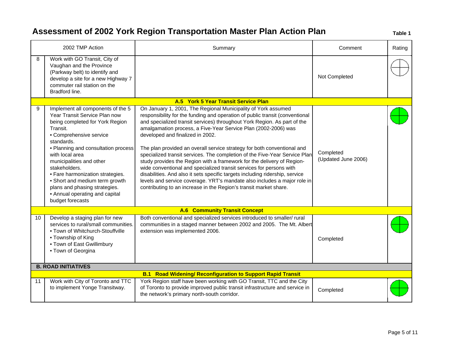|    | 2002 TMP Action                                                                                                                                                                                                                                                                                                                                                                                                                | Summary                                                                                                                                                                                                                                                                                                                                                                                                                                                                                                                                                                                                                                                                                                                                                                                                                                                                    | Comment                          | Rating |
|----|--------------------------------------------------------------------------------------------------------------------------------------------------------------------------------------------------------------------------------------------------------------------------------------------------------------------------------------------------------------------------------------------------------------------------------|----------------------------------------------------------------------------------------------------------------------------------------------------------------------------------------------------------------------------------------------------------------------------------------------------------------------------------------------------------------------------------------------------------------------------------------------------------------------------------------------------------------------------------------------------------------------------------------------------------------------------------------------------------------------------------------------------------------------------------------------------------------------------------------------------------------------------------------------------------------------------|----------------------------------|--------|
| 8  | Work with GO Transit, City of<br>Vaughan and the Province<br>(Parkway belt) to identify and<br>develop a site for a new Highway 7<br>commuter rail station on the<br>Bradford line.                                                                                                                                                                                                                                            |                                                                                                                                                                                                                                                                                                                                                                                                                                                                                                                                                                                                                                                                                                                                                                                                                                                                            | Not Completed                    |        |
|    |                                                                                                                                                                                                                                                                                                                                                                                                                                | A.5 York 5 Year Transit Service Plan                                                                                                                                                                                                                                                                                                                                                                                                                                                                                                                                                                                                                                                                                                                                                                                                                                       |                                  |        |
| 9  | Implement all components of the 5<br>Year Transit Service Plan now<br>being completed for York Region<br>Transit.<br>• Comprehensive service<br>standards.<br>• Planning and consultation process<br>with local area<br>municipalities and other<br>stakeholders.<br>• Fare harmonization strategies.<br>• Short and medium term growth<br>plans and phasing strategies.<br>• Annual operating and capital<br>budget forecasts | On January 1, 2001, The Regional Municipality of York assumed<br>responsibility for the funding and operation of public transit (conventional<br>and specialized transit services) throughout York Region. As part of the<br>amalgamation process, a Five-Year Service Plan (2002-2006) was<br>developed and finalized in 2002.<br>The plan provided an overall service strategy for both conventional and<br>specialized transit services. The completion of the Five-Year Service Plan<br>study provides the Region with a framework for the delivery of Region-<br>wide conventional and specialized transit services for persons with<br>disabilities. And also it sets specific targets including ridership, service<br>levels and service coverage. YRT's mandate also includes a major role in<br>contributing to an increase in the Region's transit market share. | Completed<br>(Updated June 2006) |        |
|    |                                                                                                                                                                                                                                                                                                                                                                                                                                | <b>A.6 Community Transit Concept</b>                                                                                                                                                                                                                                                                                                                                                                                                                                                                                                                                                                                                                                                                                                                                                                                                                                       |                                  |        |
| 10 | Develop a staging plan for new<br>services to rural/small communities.<br>• Town of Whitchurch-Stouffville<br>• Township of King<br>• Town of East Gwillimbury<br>• Town of Georgina                                                                                                                                                                                                                                           | Both conventional and specialized services introduced to smaller/ rural<br>communities in a staged manner between 2002 and 2005. The Mt. Albert<br>extension was implemented 2006.                                                                                                                                                                                                                                                                                                                                                                                                                                                                                                                                                                                                                                                                                         | Completed                        |        |
|    | <b>B. ROAD INITIATIVES</b>                                                                                                                                                                                                                                                                                                                                                                                                     |                                                                                                                                                                                                                                                                                                                                                                                                                                                                                                                                                                                                                                                                                                                                                                                                                                                                            |                                  |        |
|    |                                                                                                                                                                                                                                                                                                                                                                                                                                | <b>B.1 Road Widening/ Reconfiguration to Support Rapid Transit</b>                                                                                                                                                                                                                                                                                                                                                                                                                                                                                                                                                                                                                                                                                                                                                                                                         |                                  |        |
| 11 | Work with City of Toronto and TTC<br>to implement Yonge Transitway.                                                                                                                                                                                                                                                                                                                                                            | York Region staff have been working with GO Transit, TTC and the City<br>of Toronto to provide improved public transit infrastructure and service in<br>the network's primary north-south corridor.                                                                                                                                                                                                                                                                                                                                                                                                                                                                                                                                                                                                                                                                        | Completed                        |        |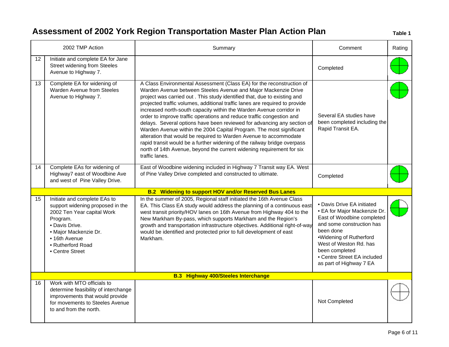|                 | 2002 TMP Action                                                                                                                                                                                                | Summary                                                                                                                                                                                                                                                                                                                                                                                                                                                                                                                                                                                                                                                                                                                                                                                                                                           | Comment                                                                                                                                                                                                                                                             | Rating |
|-----------------|----------------------------------------------------------------------------------------------------------------------------------------------------------------------------------------------------------------|---------------------------------------------------------------------------------------------------------------------------------------------------------------------------------------------------------------------------------------------------------------------------------------------------------------------------------------------------------------------------------------------------------------------------------------------------------------------------------------------------------------------------------------------------------------------------------------------------------------------------------------------------------------------------------------------------------------------------------------------------------------------------------------------------------------------------------------------------|---------------------------------------------------------------------------------------------------------------------------------------------------------------------------------------------------------------------------------------------------------------------|--------|
| 12 <sup>°</sup> | Initiate and complete EA for Jane<br><b>Street widening from Steeles</b><br>Avenue to Highway 7.                                                                                                               |                                                                                                                                                                                                                                                                                                                                                                                                                                                                                                                                                                                                                                                                                                                                                                                                                                                   | Completed                                                                                                                                                                                                                                                           |        |
| 13              | Complete EA for widening of<br>Warden Avenue from Steeles<br>Avenue to Highway 7.                                                                                                                              | A Class Environmental Assessment (Class EA) for the reconstruction of<br>Warden Avenue between Steeles Avenue and Major Mackenzie Drive<br>project was carried out . This study identified that, due to existing and<br>projected traffic volumes, additional traffic lanes are required to provide<br>increased north-south capacity within the Warden Avenue corridor in<br>order to improve traffic operations and reduce traffic congestion and<br>delays. Several options have been reviewed for advancing any section of<br>Warden Avenue within the 2004 Capital Program. The most significant<br>alteration that would be required to Warden Avenue to accommodate<br>rapid transit would be a further widening of the railway bridge overpass<br>north of 14th Avenue, beyond the current widening requirement for six<br>traffic lanes. | Several EA studies have<br>been completed including the<br>Rapid Transit EA.                                                                                                                                                                                        |        |
| 14              | Complete EAs for widening of<br>Highway7 east of Woodbine Ave<br>and west of Pine Valley Drive.                                                                                                                | East of Woodbine widening included in Highway 7 Transit way EA. West<br>of Pine Valley Drive completed and constructed to ultimate.                                                                                                                                                                                                                                                                                                                                                                                                                                                                                                                                                                                                                                                                                                               | Completed                                                                                                                                                                                                                                                           |        |
|                 |                                                                                                                                                                                                                | <b>B.2 Widening to support HOV and/or Reserved Bus Lanes</b>                                                                                                                                                                                                                                                                                                                                                                                                                                                                                                                                                                                                                                                                                                                                                                                      |                                                                                                                                                                                                                                                                     |        |
| 15              | Initiate and complete EAs to<br>support widening proposed in the<br>2002 Ten Year capital Work<br>Program.<br>• Davis Drive.<br>• Major Mackenzie Dr.<br>• 16th Avenue<br>• Rutherford Road<br>• Centre Street | In the summer of 2005, Regional staff initiated the 16th Avenue Class<br>EA. This Class EA study would address the planning of a continuous east<br>west transit priority/HOV lanes on 16th Avenue from Highway 404 to the<br>New Markham By-pass, which supports Markham and the Region's<br>growth and transportation infrastructure objectives. Additional right-of-way<br>would be identified and protected prior to full development of east<br>Markham.                                                                                                                                                                                                                                                                                                                                                                                     | • Davis Drive EA initiated<br>• EA for Major Mackenzie Dr.<br>East of Woodbine completed<br>and some construction has<br>been done<br>•Widening of Rutherford<br>West of Weston Rd. has<br>been completed<br>• Centre Street EA included<br>as part of Highway 7 EA |        |
|                 |                                                                                                                                                                                                                | <b>B.3 Highway 400/Steeles Interchange</b>                                                                                                                                                                                                                                                                                                                                                                                                                                                                                                                                                                                                                                                                                                                                                                                                        |                                                                                                                                                                                                                                                                     |        |
| 16              | Work with MTO officials to<br>determine feasibility of interchange<br>improvements that would provide<br>for movements to Steeles Avenue<br>to and from the north.                                             |                                                                                                                                                                                                                                                                                                                                                                                                                                                                                                                                                                                                                                                                                                                                                                                                                                                   | Not Completed                                                                                                                                                                                                                                                       |        |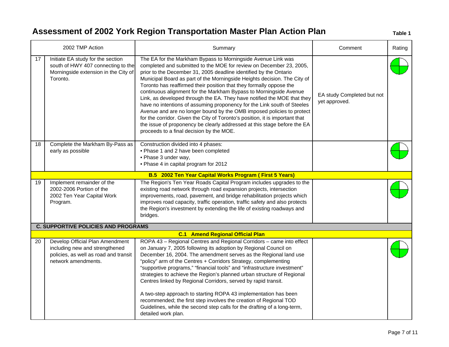|    | 2002 TMP Action                                                                                                                   | Summary                                                                                                                                                                                                                                                                                                                                                                                                                                                                                                                                                                                                                                                                                                                                                                                                                                                                 | Comment                                     | Rating |
|----|-----------------------------------------------------------------------------------------------------------------------------------|-------------------------------------------------------------------------------------------------------------------------------------------------------------------------------------------------------------------------------------------------------------------------------------------------------------------------------------------------------------------------------------------------------------------------------------------------------------------------------------------------------------------------------------------------------------------------------------------------------------------------------------------------------------------------------------------------------------------------------------------------------------------------------------------------------------------------------------------------------------------------|---------------------------------------------|--------|
| 17 | Initiate EA study for the section<br>south of HWY 407 connecting to the<br>Morningside extension in the City of<br>Toronto.       | The EA for the Markham Bypass to Morningside Avenue Link was<br>completed and submitted to the MOE for review on December 23, 2005,<br>prior to the December 31, 2005 deadline identified by the Ontario<br>Municipal Board as part of the Morningside Heights decision. The City of<br>Toronto has reaffirmed their position that they formally oppose the<br>continuous alignment for the Markham Bypass to Morningside Avenue<br>Link, as developed through the EA. They have notified the MOE that they<br>have no intentions of assuming proponency for the Link south of Steeles<br>Avenue and are no longer bound by the OMB imposed policies to protect<br>for the corridor. Given the City of Toronto's position, it is important that<br>the issue of proponency be clearly addressed at this stage before the EA<br>proceeds to a final decision by the MOE. | EA study Completed but not<br>yet approved. |        |
| 18 | Complete the Markham By-Pass as<br>early as possible                                                                              | Construction divided into 4 phases:<br>• Phase 1 and 2 have been completed<br>• Phase 3 under way,<br>• Phase 4 in capital program for 2012                                                                                                                                                                                                                                                                                                                                                                                                                                                                                                                                                                                                                                                                                                                             |                                             |        |
|    |                                                                                                                                   | B.5 2002 Ten Year Capital Works Program (First 5 Years)                                                                                                                                                                                                                                                                                                                                                                                                                                                                                                                                                                                                                                                                                                                                                                                                                 |                                             |        |
| 19 | Implement remainder of the<br>2002-2006 Portion of the<br>2002 Ten Year Capital Work<br>Program.                                  | The Region's Ten Year Roads Capital Program includes upgrades to the<br>existing road network through road expansion projects, intersection<br>improvements, road, pavement, and bridge rehabilitation projects which<br>improves road capacity, traffic operation, traffic safety and also protects<br>the Region's investment by extending the life of existing roadways and<br>bridges.                                                                                                                                                                                                                                                                                                                                                                                                                                                                              |                                             |        |
|    | <b>C. SUPPORTIVE POLICIES AND PROGRAMS</b>                                                                                        |                                                                                                                                                                                                                                                                                                                                                                                                                                                                                                                                                                                                                                                                                                                                                                                                                                                                         |                                             |        |
|    |                                                                                                                                   | <b>C.1 Amend Regional Official Plan</b>                                                                                                                                                                                                                                                                                                                                                                                                                                                                                                                                                                                                                                                                                                                                                                                                                                 |                                             |        |
| 20 | Develop Official Plan Amendment<br>including new and strengthened<br>policies, as well as road and transit<br>network amendments. | ROPA 43 - Regional Centres and Regional Corridors - came into effect<br>on January 7, 2005 following its adoption by Regional Council on<br>December 16, 2004. The amendment serves as the Regional land use<br>"policy" arm of the Centres + Corridors Strategy, complementing<br>"supportive programs," "financial tools" and "infrastructure investment"<br>strategies to achieve the Region's planned urban structure of Regional<br>Centres linked by Regional Corridors, served by rapid transit.<br>A two-step approach to starting ROPA 43 implementation has been<br>recommended; the first step involves the creation of Regional TOD<br>Guidelines, while the second step calls for the drafting of a long-term,<br>detailed work plan.                                                                                                                      |                                             |        |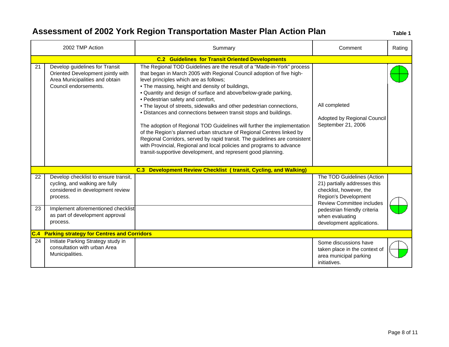|          | 2002 TMP Action                                                                                                                                              | Summary                                                                                                                                                                                                                                                                                                                                                                                                                                                                                                                                                                                                                                                                                                                                                                                                                                                                   | Comment                                                                                                                                                                           | Rating |
|----------|--------------------------------------------------------------------------------------------------------------------------------------------------------------|---------------------------------------------------------------------------------------------------------------------------------------------------------------------------------------------------------------------------------------------------------------------------------------------------------------------------------------------------------------------------------------------------------------------------------------------------------------------------------------------------------------------------------------------------------------------------------------------------------------------------------------------------------------------------------------------------------------------------------------------------------------------------------------------------------------------------------------------------------------------------|-----------------------------------------------------------------------------------------------------------------------------------------------------------------------------------|--------|
|          |                                                                                                                                                              | <b>C.2 Guidelines for Transit Oriented Developments</b>                                                                                                                                                                                                                                                                                                                                                                                                                                                                                                                                                                                                                                                                                                                                                                                                                   |                                                                                                                                                                                   |        |
| 21       | Develop guidelines for Transit<br>Oriented Development jointly with<br>Area Municipalities and obtain<br>Council endorsements.                               | The Regional TOD Guidelines are the result of a "Made-in-York" process<br>that began in March 2005 with Regional Council adoption of five high-<br>level principles which are as follows;<br>. The massing, height and density of buildings,<br>. Quantity and design of surface and above/below-grade parking,<br>• Pedestrian safety and comfort,<br>. The layout of streets, sidewalks and other pedestrian connections,<br>· Distances and connections between transit stops and buildings.<br>The adoption of Regional TOD Guidelines will further the implementation<br>of the Region's planned urban structure of Regional Centres linked by<br>Regional Corridors, served by rapid transit. The guidelines are consistent<br>with Provincial, Regional and local policies and programs to advance<br>transit-supportive development, and represent good planning. | All completed<br>Adopted by Regional Council<br>September 21, 2006                                                                                                                |        |
|          |                                                                                                                                                              | C.3 Development Review Checklist (transit, Cycling, and Walking)                                                                                                                                                                                                                                                                                                                                                                                                                                                                                                                                                                                                                                                                                                                                                                                                          |                                                                                                                                                                                   |        |
| 22<br>23 | Develop checklist to ensure transit,<br>cycling, and walking are fully<br>considered in development review<br>process.<br>Implement aforementioned checklist |                                                                                                                                                                                                                                                                                                                                                                                                                                                                                                                                                                                                                                                                                                                                                                                                                                                                           | The TOD Guidelines (Action<br>21) partially addresses this<br>checklist, however, the<br>Region's Development<br><b>Review Committee includes</b><br>pedestrian friendly criteria |        |
|          | as part of development approval<br>process.                                                                                                                  |                                                                                                                                                                                                                                                                                                                                                                                                                                                                                                                                                                                                                                                                                                                                                                                                                                                                           | when evaluating<br>development applications.                                                                                                                                      |        |
|          | C.4 Parking strategy for Centres and Corridors                                                                                                               |                                                                                                                                                                                                                                                                                                                                                                                                                                                                                                                                                                                                                                                                                                                                                                                                                                                                           |                                                                                                                                                                                   |        |
| 24       | Initiate Parking Strategy study in<br>consultation with urban Area<br>Municipalities.                                                                        |                                                                                                                                                                                                                                                                                                                                                                                                                                                                                                                                                                                                                                                                                                                                                                                                                                                                           | Some discussions have<br>taken place in the context of<br>area municipal parking<br>initiatives.                                                                                  |        |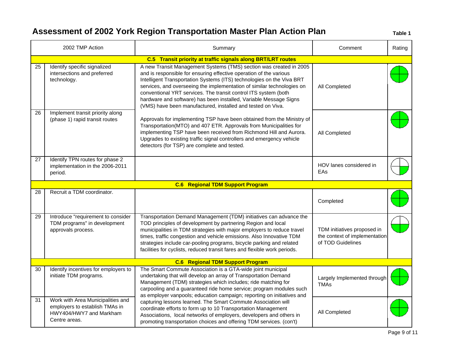|    | 2002 TMP Action                                                                                                 | Summary                                                                                                                                                                                                                                                                                                                                                                                                                                                                                            | Comment                                                                           | Rating |  |
|----|-----------------------------------------------------------------------------------------------------------------|----------------------------------------------------------------------------------------------------------------------------------------------------------------------------------------------------------------------------------------------------------------------------------------------------------------------------------------------------------------------------------------------------------------------------------------------------------------------------------------------------|-----------------------------------------------------------------------------------|--------|--|
|    | C.5 Transit priority at traffic signals along BRT/LRT routes                                                    |                                                                                                                                                                                                                                                                                                                                                                                                                                                                                                    |                                                                                   |        |  |
| 25 | Identify specific signalized<br>intersections and preferred<br>technology.                                      | A new Transit Management Systems (TMS) section was created in 2005<br>and is responsible for ensuring effective operation of the various<br>Intelligent Transportation Systems (ITS) technologies on the Viva BRT<br>services, and overseeing the implementation of similar technologies on<br>conventional YRT services. The transit control ITS system (both<br>hardware and software) has been installed, Variable Message Signs<br>(VMS) have been manufactured, installed and tested on Viva. | All Completed                                                                     |        |  |
| 26 | Implement transit priority along<br>(phase 1) rapid transit routes                                              | Approvals for implementing TSP have been obtained from the Ministry of<br>Transportation(MTO) and 407 ETR. Approvals from Municipalities for<br>implementing TSP have been received from Richmond Hill and Aurora.<br>Upgrades to existing traffic signal controllers and emergency vehicle<br>detectors (for TSP) are complete and tested.                                                                                                                                                        | All Completed                                                                     |        |  |
| 27 | Identify TPN routes for phase 2<br>implementation in the 2006-2011<br>period.                                   |                                                                                                                                                                                                                                                                                                                                                                                                                                                                                                    | HOV lanes considered in<br>EAs                                                    |        |  |
|    |                                                                                                                 | <b>C.6 Regional TDM Support Program</b>                                                                                                                                                                                                                                                                                                                                                                                                                                                            |                                                                                   |        |  |
| 28 | Recruit a TDM coordinator.                                                                                      |                                                                                                                                                                                                                                                                                                                                                                                                                                                                                                    | Completed                                                                         |        |  |
| 29 | Introduce "requirement to consider<br>TDM programs" in development<br>approvals process.                        | Transportation Demand Management (TDM) initiatives can advance the<br>TOD principles of development by partnering Region and local<br>municipalities in TDM strategies with major employers to reduce travel<br>times, traffic congestion and vehicle emissions. Also Innovative TDM<br>strategies include car-pooling programs, bicycle parking and related<br>facilities for cyclists, reduced transit fares and flexible work periods.                                                          | TDM initiatives proposed in<br>the context of implementation<br>of TOD Guidelines |        |  |
|    |                                                                                                                 | <b>C.6 Regional TDM Support Program</b>                                                                                                                                                                                                                                                                                                                                                                                                                                                            |                                                                                   |        |  |
| 30 | Identify incentives for employers to<br>initiate TDM programs.                                                  | The Smart Commute Association is a GTA-wide joint municipal<br>undertaking that will develop an array of Transportation Demand<br>Management (TDM) strategies which includes; ride matching for<br>carpooling and a guaranteed ride home service; program modules such<br>as employer vanpools; education campaign; reporting on initiatives and                                                                                                                                                   | Largely Implemented through<br><b>TMAs</b>                                        |        |  |
| 31 | Work with Area Municipalities and<br>employers to establish TMAs in<br>HWY404/HWY7 and Markham<br>Centre areas. | capturing lessons learned. The Smart Commute Association will<br>coordinate efforts to form up to 10 Transportation Management<br>Associations, local networks of employers, developers and others in<br>promoting transportation choices and offering TDM services. (con't)                                                                                                                                                                                                                       | All Completed                                                                     |        |  |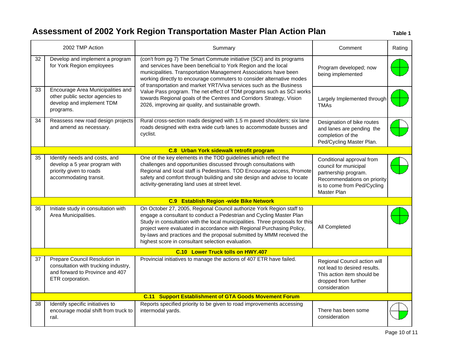|    | 2002 TMP Action                                                                                                              | Summary                                                                                                                                                                                                                                                                                                                                                                                                                            | Comment                                                                                                                                                 | Rating |
|----|------------------------------------------------------------------------------------------------------------------------------|------------------------------------------------------------------------------------------------------------------------------------------------------------------------------------------------------------------------------------------------------------------------------------------------------------------------------------------------------------------------------------------------------------------------------------|---------------------------------------------------------------------------------------------------------------------------------------------------------|--------|
| 32 | Develop and implement a program<br>for York Region employees                                                                 | (con't from pg 7) The Smart Commute initiative (SCI) and its programs<br>and services have been beneficial to York Region and the local<br>municipalities. Transportation Management Associations have been<br>working directly to encourage commuters to consider alternative modes<br>of transportation and market YRT/Viva services such as the Business                                                                        | Program developed; now<br>being implemented                                                                                                             |        |
| 33 | Encourage Area Municipalities and<br>other public sector agencies to<br>develop and implement TDM<br>programs.               | Value Pass program. The net effect of TDM programs such as SCI works<br>towards Regional goals of the Centres and Corridors Strategy, Vision<br>2026, improving air quality, and sustainable growth.                                                                                                                                                                                                                               | Largely Implemented through<br><b>TMAs</b>                                                                                                              |        |
| 34 | Reassess new road design projects<br>and amend as necessary.                                                                 | Rural cross-section roads designed with 1.5 m paved shoulders; six lane<br>roads designed with extra wide curb lanes to accommodate busses and<br>cyclist.                                                                                                                                                                                                                                                                         | Designation of bike routes<br>and lanes are pending the<br>completion of the<br>Ped/Cycling Master Plan.                                                |        |
|    |                                                                                                                              | C.8 Urban York sidewalk retrofit program                                                                                                                                                                                                                                                                                                                                                                                           |                                                                                                                                                         |        |
| 35 | Identify needs and costs, and<br>develop a 5 year program with<br>priority given to roads<br>accommodating transit.          | One of the key elements in the TOD guidelines which reflect the<br>challenges and opportunities discussed through consultations with<br>Regional and local staff is Pedestrians. TOD Encourage access, Promote<br>safety and comfort through building and site design and advise to locate<br>activity-generating land uses at street level.                                                                                       | Conditional approval from<br>council for municipal<br>partnership program.<br>Recommendations on priority<br>is to come from Ped/Cycling<br>Master Plan |        |
|    |                                                                                                                              | <b>C.9 Establish Region -wide Bike Network</b>                                                                                                                                                                                                                                                                                                                                                                                     |                                                                                                                                                         |        |
| 36 | Initiate study in consultation with<br>Area Municipalities.                                                                  | On October 27, 2005, Regional Council authorize York Region staff to<br>engage a consultant to conduct a Pedestrian and Cycling Master Plan<br>Study in consultation with the local municipalities. Three proposals for this<br>project were evaluated in accordance with Regional Purchasing Policy,<br>by-laws and practices and the proposal submitted by MMM received the<br>highest score in consultant selection evaluation. | All Completed                                                                                                                                           |        |
|    |                                                                                                                              | C.10 Lower Truck tolls on HWY.407                                                                                                                                                                                                                                                                                                                                                                                                  |                                                                                                                                                         |        |
| 37 | Prepare Council Resolution in<br>consultation with trucking industry,<br>and forward to Province and 407<br>ETR corporation. | Provincial initiatives to manage the actions of 407 ETR have failed.                                                                                                                                                                                                                                                                                                                                                               | Regional Council action will<br>not lead to desired results.<br>This action item should be<br>dropped from further<br>consideration                     |        |
|    |                                                                                                                              | <b>C.11 Support Establishment of GTA Goods Movement Forum</b>                                                                                                                                                                                                                                                                                                                                                                      |                                                                                                                                                         |        |
| 38 | Identify specific initiatives to<br>encourage modal shift from truck to<br>rail.                                             | Reports specified priority to be given to road improvements accessing<br>intermodal yards.                                                                                                                                                                                                                                                                                                                                         | There has been some<br>consideration                                                                                                                    |        |